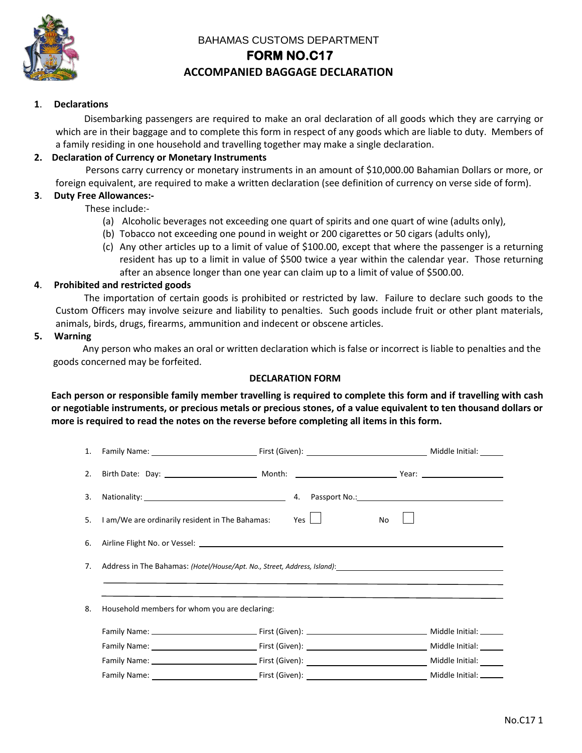

# BAHAMAS CUSTOMS DEPARTMENT

### **FORM NO.C17**

## **ACCOMPANIED BAGGAGE DECLARATION**

#### **1**. **Declarations**

 Disembarking passengers are required to make an oral declaration of all goods which they are carrying or which are in their baggage and to complete this form in respect of any goods which are liable to duty. Members of a family residing in one household and travelling together may make a single declaration.

### **2. Declaration of Currency or Monetary Instruments**

 Persons carry currency or monetary instruments in an amount of \$10,000.00 Bahamian Dollars or more, or foreign equivalent, are required to make a written declaration (see definition of currency on verse side of form).

#### **3**. **Duty Free Allowances:-**

These include:-

- (a) Alcoholic beverages not exceeding one quart of spirits and one quart of wine (adults only),
- (b) Tobacco not exceeding one pound in weight or 200 cigarettes or 50 cigars (adults only),
- (c) Any other articles up to a limit of value of \$100.00, except that where the passenger is a returning resident has up to a limit in value of \$500 twice a year within the calendar year. Those returning after an absence longer than one year can claim up to a limit of value of \$500.00.

#### **4**. **Prohibited and restricted goods**

 The importation of certain goods is prohibited or restricted by law. Failure to declare such goods to the Custom Officers may involve seizure and liability to penalties. Such goods include fruit or other plant materials, animals, birds, drugs, firearms, ammunition and indecent or obscene articles.

#### **5. Warning**

 Any person who makes an oral or written declaration which is false or incorrect is liable to penalties and the goods concerned may be forfeited.

### **DECLARATION FORM**

**Each person or responsible family member travelling is required to complete this form and if travelling with cash or negotiable instruments, or precious metals or precious stones, of a value equivalent to ten thousand dollars or more is required to read the notes on the reverse before completing all items in this form.** 

|    |                                                                                                                                                                                                                                         |  |  |    |  | Middle Initial: ______ |  |
|----|-----------------------------------------------------------------------------------------------------------------------------------------------------------------------------------------------------------------------------------------|--|--|----|--|------------------------|--|
|    |                                                                                                                                                                                                                                         |  |  |    |  |                        |  |
| 3. |                                                                                                                                                                                                                                         |  |  |    |  |                        |  |
|    | 5. I am/We are ordinarily resident in The Bahamas: Yes $\Box$                                                                                                                                                                           |  |  | No |  |                        |  |
| 6. |                                                                                                                                                                                                                                         |  |  |    |  |                        |  |
|    | 7. Address in The Bahamas: (Hotel/House/Apt. No., Street, Address, Island): 1. 2014 1994 1994 1994 1997 1998 1<br><u> 2000 - Jacques Alexandro Alexandro Alexandro Alexandro Alexandro Alexandro Alexandro Alexandro Alexandro Alex</u> |  |  |    |  |                        |  |
| 8. | Household members for whom you are declaring:                                                                                                                                                                                           |  |  |    |  |                        |  |
|    |                                                                                                                                                                                                                                         |  |  |    |  |                        |  |
|    |                                                                                                                                                                                                                                         |  |  |    |  |                        |  |
|    |                                                                                                                                                                                                                                         |  |  |    |  |                        |  |
|    |                                                                                                                                                                                                                                         |  |  |    |  |                        |  |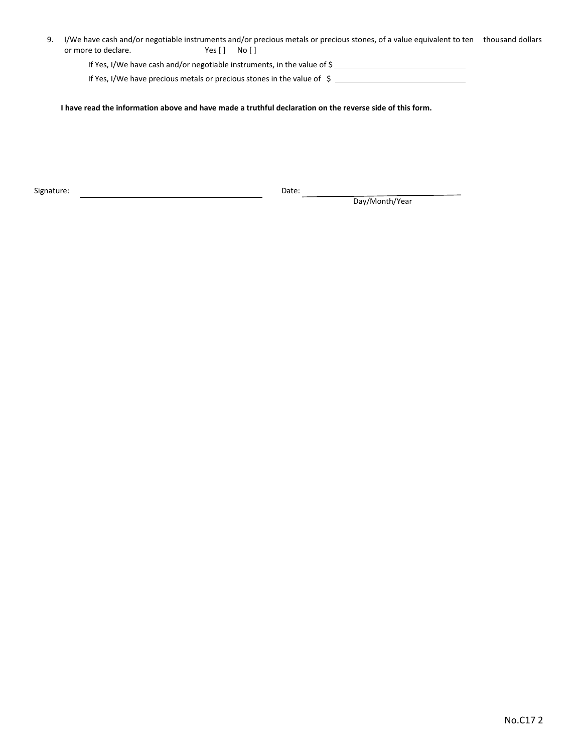9. I/We have cash and/or negotiable instruments and/or precious metals or precious stones, of a value equivalent to ten thousand dollars or more to declare. Yes [ ] No [ ]

If Yes, I/We have cash and/or negotiable instruments, in the value of \$

If Yes, I/We have precious metals or precious stones in the value of \$

**I have read the information above and have made a truthful declaration on the reverse side of this form.**

Signature: Date:

Date: Day/Month/Year